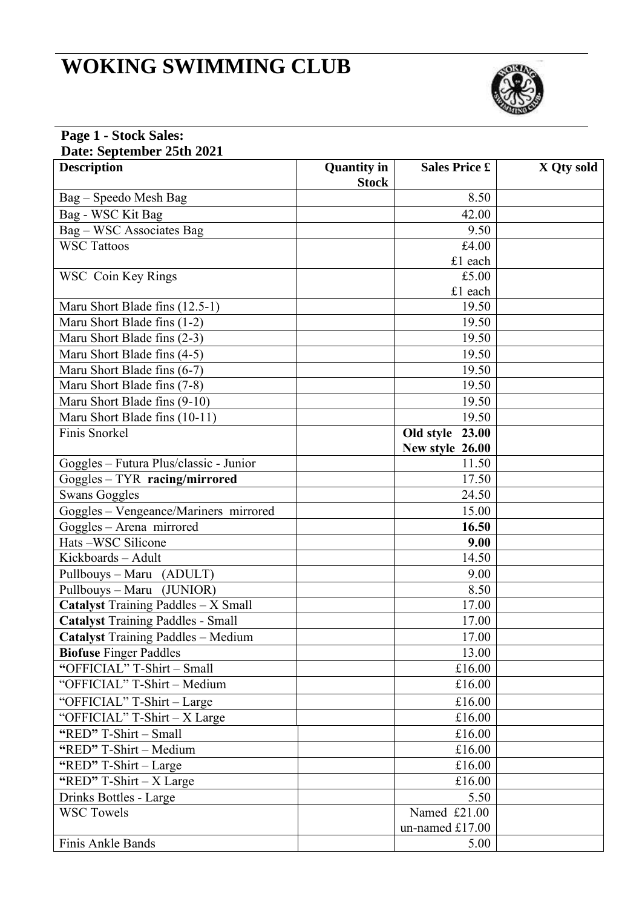## **WOKING SWIMMING CLUB**



| Page 1 - Stock Sales:                      |                                    |                      |            |  |  |
|--------------------------------------------|------------------------------------|----------------------|------------|--|--|
| Date: September 25th 2021                  |                                    |                      |            |  |  |
| <b>Description</b>                         | <b>Quantity in</b><br><b>Stock</b> | <b>Sales Price £</b> | X Qty sold |  |  |
| Bag - Speedo Mesh Bag                      |                                    | 8.50                 |            |  |  |
| Bag - WSC Kit Bag                          |                                    | 42.00                |            |  |  |
| Bag – WSC Associates Bag                   |                                    | 9.50                 |            |  |  |
| <b>WSC Tattoos</b>                         |                                    | £4.00                |            |  |  |
|                                            |                                    | £1 each              |            |  |  |
| WSC Coin Key Rings                         |                                    | £5.00                |            |  |  |
|                                            |                                    | £1 each              |            |  |  |
| Maru Short Blade fins (12.5-1)             |                                    | 19.50                |            |  |  |
| Maru Short Blade fins (1-2)                |                                    | 19.50                |            |  |  |
| Maru Short Blade fins (2-3)                |                                    | 19.50                |            |  |  |
| Maru Short Blade fins (4-5)                |                                    | 19.50                |            |  |  |
| Maru Short Blade fins (6-7)                |                                    | 19.50                |            |  |  |
| Maru Short Blade fins (7-8)                |                                    | 19.50                |            |  |  |
| Maru Short Blade fins (9-10)               |                                    | 19.50                |            |  |  |
| Maru Short Blade fins (10-11)              |                                    | 19.50                |            |  |  |
| Finis Snorkel                              |                                    | Old style 23.00      |            |  |  |
|                                            |                                    | New style 26.00      |            |  |  |
| Goggles – Futura Plus/classic - Junior     |                                    | 11.50                |            |  |  |
| Goggles - TYR racing/mirrored              |                                    | 17.50                |            |  |  |
| <b>Swans Goggles</b>                       |                                    | 24.50                |            |  |  |
| Goggles - Vengeance/Mariners mirrored      |                                    | 15.00                |            |  |  |
| Goggles - Arena mirrored                   |                                    | 16.50                |            |  |  |
| Hats-WSC Silicone                          |                                    | 9.00                 |            |  |  |
| Kickboards - Adult                         |                                    | 14.50                |            |  |  |
| Pullbouys - Maru (ADULT)                   |                                    | 9.00                 |            |  |  |
| Pullbouys - Maru (JUNIOR)                  |                                    | 8.50                 |            |  |  |
| <b>Catalyst</b> Training Paddles - X Small |                                    | 17.00                |            |  |  |
| <b>Catalyst Training Paddles - Small</b>   |                                    | 17.00                |            |  |  |
| <b>Catalyst Training Paddles - Medium</b>  |                                    | 17.00                |            |  |  |
| <b>Biofuse Finger Paddles</b>              |                                    | 13.00                |            |  |  |
| "OFFICIAL" T-Shirt - Small                 |                                    | £16.00               |            |  |  |
| "OFFICIAL" T-Shirt - Medium                |                                    | £16.00               |            |  |  |
| "OFFICIAL" T-Shirt - Large                 |                                    | £16.00               |            |  |  |
| "OFFICIAL" T-Shirt - X Large               |                                    | £16.00               |            |  |  |
| "RED" T-Shirt - Small                      |                                    | £16.00               |            |  |  |
| "RED" T-Shirt - Medium                     |                                    | £16.00               |            |  |  |
| "RED" T-Shirt - Large                      |                                    | £16.00               |            |  |  |
| "RED" T-Shirt - X Large                    |                                    | £16.00               |            |  |  |
| Drinks Bottles - Large                     |                                    | 5.50                 |            |  |  |
| <b>WSC Towels</b>                          |                                    | Named £21.00         |            |  |  |
|                                            |                                    | un-named £17.00      |            |  |  |
| Finis Ankle Bands                          |                                    | 5.00                 |            |  |  |